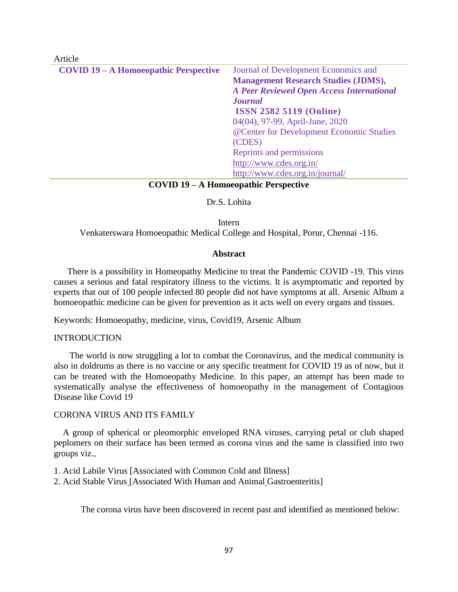| <b>COVID 19 – A Homoeopathic Perspective</b> | Journal of Development Economics and             |
|----------------------------------------------|--------------------------------------------------|
|                                              | <b>Management Research Studies (JDMS),</b>       |
|                                              | <b>A Peer Reviewed Open Access International</b> |
|                                              | <b>Journal</b>                                   |
|                                              | <b>ISSN 2582 5119 (Online)</b>                   |
|                                              | 04(04), 97-99, April-June, 2020                  |
|                                              | @Center for Development Economic Studies         |
|                                              | (CDES)                                           |
|                                              | Reprints and permissions                         |
|                                              | http://www.cdes.org.in/                          |
|                                              | http://www.cdes.org.in/journal/                  |

### **COVID 19 – A Homoeopathic Perspective**

## Dr.S. Lohita

Intern Venkaterswara Homoeopathic Medical College and Hospital, Porur, Chennai -116.

#### **Abstract**

 There is a possibility in Homeopathy Medicine to treat the Pandemic COVID -19. This virus causes a serious and fatal respiratory illness to the victims. It is asymptomatic and reported by experts that out of 100 people infected 80 people did not have symptoms at all. Arsenic Album a homoeopathic medicine can be given for prevention as it acts well on every organs and tissues.

Keywords: Homoeopathy, medicine, virus, Covid19, Arsenic Album

#### INTRODUCTION

Article

 The world is now struggling a lot to combat the Coronavirus, and the medical community is also in doldrums as there is no vaccine or any specific treatment for COVID 19 as of now, but it can be treated with the Homoeopathy Medicine. In this paper, an attempt has been made to systematically analyse the effectiveness of homoeopathy in the management of Contagious Disease like Covid 19

#### CORONA VIRUS AND ITS FAMILY

 A group of spherical or pleomorphic enveloped RNA viruses, carrying petal or club shaped peplomers on their surface has been termed as corona virus and the same is classified into two groups viz.,

1. Acid Labile Virus [Associated with Common Cold and Illness]

2. Acid Stable Virus [Associated With Human and Animal Gastroenteritis]

The corona virus have been discovered in recent past and identified as mentioned below: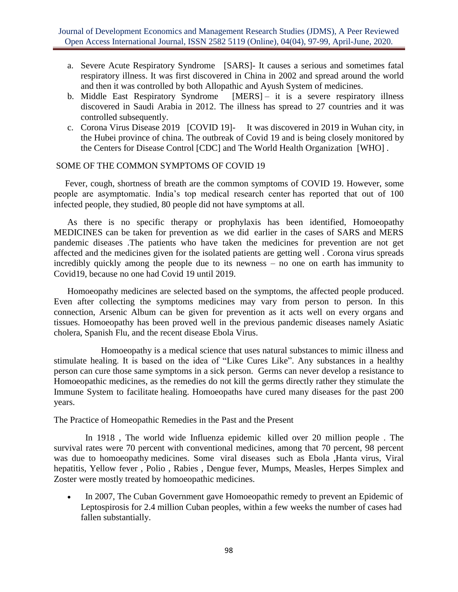- a. Severe Acute Respiratory Syndrome [SARS]- It causes a serious and sometimes fatal respiratory illness. It was first discovered in China in 2002 and spread around the world and then it was controlled by both Allopathic and Ayush System of medicines.
- b. Middle East Respiratory Syndrome [MERS] it is a severe respiratory illness discovered in Saudi Arabia in 2012. The illness has spread to 27 countries and it was controlled subsequently.
- c. Corona Virus Disease 2019 [COVID 19]- It was discovered in 2019 in Wuhan city, in the Hubei province of china. The outbreak of Covid 19 and is being closely monitored by the Centers for Disease Control [CDC] and The World Health Organization [WHO] .

## SOME OF THE COMMON SYMPTOMS OF COVID 19

 Fever, cough, shortness of breath are the common symptoms of COVID 19. However, some people are asymptomatic. India's top medical research center has reported that out of 100 infected people, they studied, 80 people did not have symptoms at all.

 As there is no specific therapy or prophylaxis has been identified, Homoeopathy MEDICINES can be taken for prevention as we did earlier in the cases of SARS and MERS pandemic diseases .The patients who have taken the medicines for prevention are not get affected and the medicines given for the isolated patients are getting well . Corona virus spreads incredibly quickly among the people due to its newness – no one on earth has immunity to Covid19, because no one had Covid 19 until 2019.

 Homoeopathy medicines are selected based on the symptoms, the affected people produced. Even after collecting the symptoms medicines may vary from person to person. In this connection, Arsenic Album can be given for prevention as it acts well on every organs and tissues. Homoeopathy has been proved well in the previous pandemic diseases namely Asiatic cholera, Spanish Flu, and the recent disease Ebola Virus.

 Homoeopathy is a medical science that uses natural substances to mimic illness and stimulate healing. It is based on the idea of "Like Cures Like". Any substances in a healthy person can cure those same symptoms in a sick person. Germs can never develop a resistance to Homoeopathic medicines, as the remedies do not kill the germs directly rather they stimulate the Immune System to facilitate healing. Homoeopaths have cured many diseases for the past 200 years.

The Practice of Homeopathic Remedies in the Past and the Present

 In 1918 , The world wide Influenza epidemic killed over 20 million people . The survival rates were 70 percent with conventional medicines, among that 70 percent, 98 percent was due to homoeopathy medicines. Some viral diseases such as Ebola ,Hanta virus, Viral hepatitis, Yellow fever , Polio , Rabies , Dengue fever, Mumps, Measles, Herpes Simplex and Zoster were mostly treated by homoeopathic medicines.

In 2007, The Cuban Government gave Homoeopathic remedy to prevent an Epidemic of Leptospirosis for 2.4 million Cuban peoples, within a few weeks the number of cases had fallen substantially.